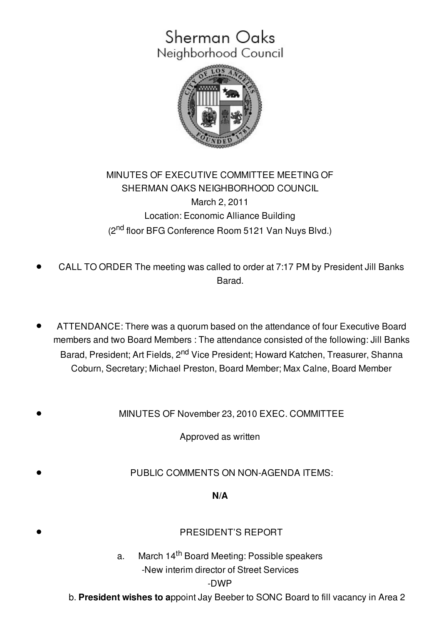## Sherman Oaks Neighborhood Council



## MINUTES OF EXECUTIVE COMMITTEE MEETING OF SHERMAN OAKS NEIGHBORHOOD COUNCIL March 2, 2011 Location: Economic Alliance Building (2<sup>nd</sup> floor BFG Conference Room 5121 Van Nuys Blvd.)

- CALL TO ORDER The meeting was called to order at 7:17 PM by President Jill Banks Barad.
- ATTENDANCE: There was a quorum based on the attendance of four Executive Board members and two Board Members : The attendance consisted of the following: Jill Banks Barad, President; Art Fields, 2<sup>nd</sup> Vice President; Howard Katchen, Treasurer, Shanna Coburn, Secretary; Michael Preston, Board Member; Max Calne, Board Member
- MINUTES OF November 23, 2010 EXEC. COMMITTEE

Approved as written

PUBLIC COMMENTS ON NON-AGENDA ITEMS:

## **N/A**

| N/A                                                                                                               |
|-------------------------------------------------------------------------------------------------------------------|
| <b>PRESIDENT'S REPORT</b>                                                                                         |
| March 14 <sup>th</sup> Board Meeting: Possible speakers<br>a.<br>-New interim director of Street Services<br>-DWP |

b. **President wishes to a**ppoint Jay Beeber to SONC Board to fill vacancy in Area 2